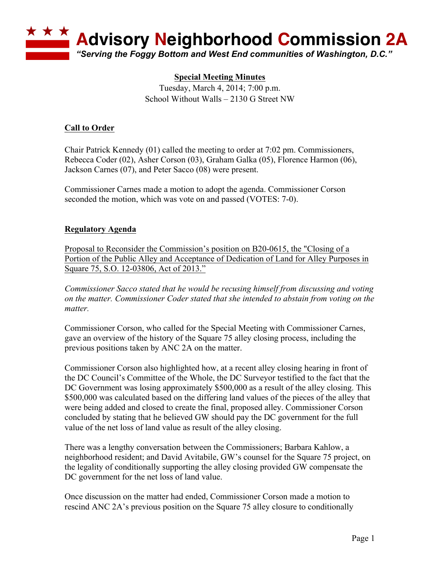

## **Special Meeting Minutes**

Tuesday, March 4, 2014; 7:00 p.m. School Without Walls – 2130 G Street NW

## **Call to Order**

Chair Patrick Kennedy (01) called the meeting to order at 7:02 pm. Commissioners, Rebecca Coder (02), Asher Corson (03), Graham Galka (05), Florence Harmon (06), Jackson Carnes (07), and Peter Sacco (08) were present.

Commissioner Carnes made a motion to adopt the agenda. Commissioner Corson seconded the motion, which was vote on and passed (VOTES: 7-0).

## **Regulatory Agenda**

Proposal to Reconsider the Commission's position on B20-0615, the "Closing of a Portion of the Public Alley and Acceptance of Dedication of Land for Alley Purposes in Square 75, S.O. 12-03806, Act of 2013."

*Commissioner Sacco stated that he would be recusing himself from discussing and voting on the matter. Commissioner Coder stated that she intended to abstain from voting on the matter.*

Commissioner Corson, who called for the Special Meeting with Commissioner Carnes, gave an overview of the history of the Square 75 alley closing process, including the previous positions taken by ANC 2A on the matter.

Commissioner Corson also highlighted how, at a recent alley closing hearing in front of the DC Council's Committee of the Whole, the DC Surveyor testified to the fact that the DC Government was losing approximately \$500,000 as a result of the alley closing. This \$500,000 was calculated based on the differing land values of the pieces of the alley that were being added and closed to create the final, proposed alley. Commissioner Corson concluded by stating that he believed GW should pay the DC government for the full value of the net loss of land value as result of the alley closing.

There was a lengthy conversation between the Commissioners; Barbara Kahlow, a neighborhood resident; and David Avitabile, GW's counsel for the Square 75 project, on the legality of conditionally supporting the alley closing provided GW compensate the DC government for the net loss of land value.

Once discussion on the matter had ended, Commissioner Corson made a motion to rescind ANC 2A's previous position on the Square 75 alley closure to conditionally